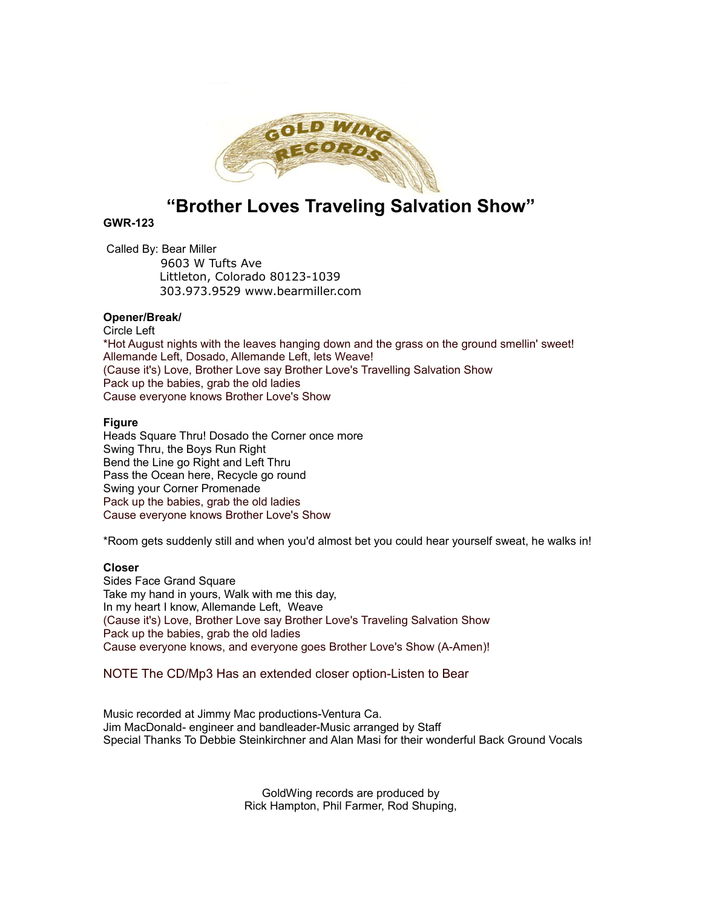

# **"Brother Loves Traveling Salvation Show"**

## **GWR-123**

 Called By: Bear Miller 9603 W Tufts Ave Littleton, Colorado 80123-1039 303.973.9529 www.bearmiller.com

## **Opener/Break/**

Circle Left \*Hot August nights with the leaves hanging down and the grass on the ground smellin' sweet! Allemande Left, Dosado, Allemande Left, lets Weave! (Cause it's) Love, Brother Love say Brother Love's Travelling Salvation Show Pack up the babies, grab the old ladies Cause everyone knows Brother Love's Show

### **Figure**

Heads Square Thru! Dosado the Corner once more Swing Thru, the Boys Run Right Bend the Line go Right and Left Thru Pass the Ocean here, Recycle go round Swing your Corner Promenade Pack up the babies, grab the old ladies Cause everyone knows Brother Love's Show

\*Room gets suddenly still and when you'd almost bet you could hear yourself sweat, he walks in!

### **Closer**

Sides Face Grand Square Take my hand in yours, Walk with me this day, In my heart I know, Allemande Left, Weave (Cause it's) Love, Brother Love say Brother Love's Traveling Salvation Show Pack up the babies, grab the old ladies Cause everyone knows, and everyone goes Brother Love's Show (A-Amen)!

NOTE The CD/Mp3 Has an extended closer option-Listen to Bear

Music recorded at Jimmy Mac productions-Ventura Ca. Jim MacDonald- engineer and bandleader-Music arranged by Staff Special Thanks To Debbie Steinkirchner and Alan Masi for their wonderful Back Ground Vocals

> GoldWing records are produced by Rick Hampton, Phil Farmer, Rod Shuping,